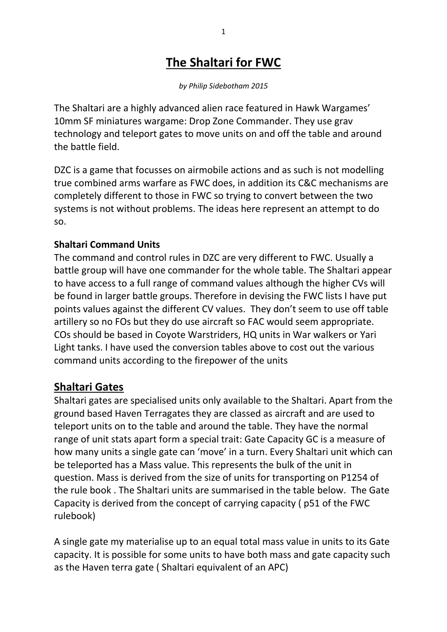# **The Shaltari for FWC**

*by Philip Sidebotham 2015*

The Shaltari are a highly advanced alien race featured in Hawk Wargames' 10mm SF miniatures wargame: Drop Zone Commander. They use grav technology and teleport gates to move units on and off the table and around the battle field.

DZC is a game that focusses on airmobile actions and as such is not modelling true combined arms warfare as FWC does, in addition its C&C mechanisms are completely different to those in FWC so trying to convert between the two systems is not without problems. The ideas here represent an attempt to do so.

# **Shaltari Command Units**

The command and control rules in DZC are very different to FWC. Usually a battle group will have one commander for the whole table. The Shaltari appear to have access to a full range of command values although the higher CVs will be found in larger battle groups. Therefore in devising the FWC lists I have put points values against the different CV values. They don't seem to use off table artillery so no FOs but they do use aircraft so FAC would seem appropriate. COs should be based in Coyote Warstriders, HQ units in War walkers or Yari Light tanks. I have used the conversion tables above to cost out the various command units according to the firepower of the units

# **Shaltari Gates**

Shaltari gates are specialised units only available to the Shaltari. Apart from the ground based Haven Terragates they are classed as aircraft and are used to teleport units on to the table and around the table. They have the normal range of unit stats apart form a special trait: Gate Capacity GC is a measure of how many units a single gate can 'move' in a turn. Every Shaltari unit which can be teleported has a Mass value. This represents the bulk of the unit in question. Mass is derived from the size of units for transporting on P1254 of the rule book . The Shaltari units are summarised in the table below. The Gate Capacity is derived from the concept of carrying capacity ( p51 of the FWC rulebook)

A single gate my materialise up to an equal total mass value in units to its Gate capacity. It is possible for some units to have both mass and gate capacity such as the Haven terra gate ( Shaltari equivalent of an APC)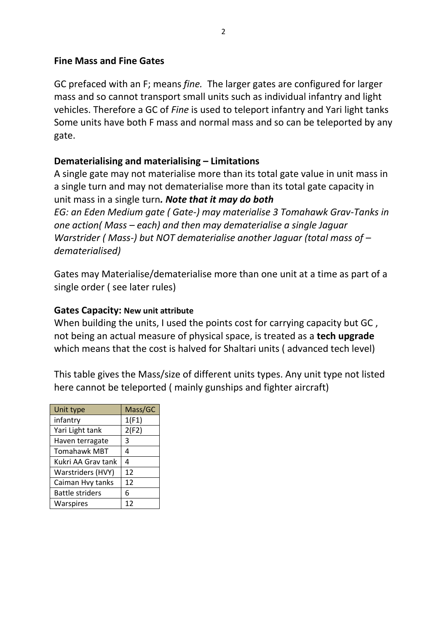# **Fine Mass and Fine Gates**

GC prefaced with an F; means *fine.* The larger gates are configured for larger mass and so cannot transport small units such as individual infantry and light vehicles. Therefore a GC of *Fine* is used to teleport infantry and Yari light tanks Some units have both F mass and normal mass and so can be teleported by any gate.

# **Dematerialising and materialising – Limitations**

A single gate may not materialise more than its total gate value in unit mass in a single turn and may not dematerialise more than its total gate capacity in unit mass in a single turn*. Note that it may do both EG: an Eden Medium gate ( Gate-) may materialise 3 Tomahawk Grav-Tanks in one action( Mass – each) and then may dematerialise a single Jaguar Warstrider ( Mass-) but NOT dematerialise another Jaguar (total mass of – dematerialised)* 

Gates may Materialise/dematerialise more than one unit at a time as part of a single order ( see later rules)

# **Gates Capacity: New unit attribute**

When building the units, I used the points cost for carrying capacity but GC, not being an actual measure of physical space, is treated as a **tech upgrade** which means that the cost is halved for Shaltari units ( advanced tech level)

This table gives the Mass/size of different units types. Any unit type not listed here cannot be teleported ( mainly gunships and fighter aircraft)

| Unit type              | Mass/GC |
|------------------------|---------|
| infantry               | 1(F1)   |
| Yari Light tank        | 2(F2)   |
| Haven terragate        | 3       |
| <b>Tomahawk MBT</b>    | 4       |
| Kukri AA Grav tank     | 4       |
| Warstriders (HVY)      | 12      |
| Caiman Hvy tanks       | 12      |
| <b>Battle striders</b> | 6       |
| Warspires              | 12      |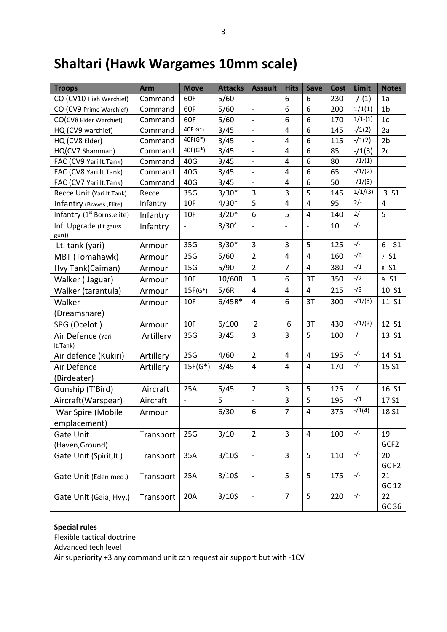# **Shaltari (Hawk Wargames 10mm scale)**

| <b>Troops</b>                           | <b>Arm</b> | <b>Move</b>                  | <b>Attacks</b> | <b>Assault</b>           | <b>Hits</b>             | <b>Save</b>             | <b>Cost</b> | Limit     | <b>Notes</b>        |
|-----------------------------------------|------------|------------------------------|----------------|--------------------------|-------------------------|-------------------------|-------------|-----------|---------------------|
| CO (CV10 High Warchief)                 | Command    | 60F                          | 5/60           |                          | 6                       | 6                       | 230         | $-/-(1)$  | 1a                  |
| CO (CV9 Prime Warchief)                 | Command    | 60F                          | 5/60           | $\overline{\phantom{a}}$ | 6                       | 6                       | 200         | 1/1(1)    | 1 <sub>b</sub>      |
| CO(CV8 Elder Warchief)                  | Command    | 60F                          | 5/60           | $\overline{\phantom{a}}$ | 6                       | 6                       | 170         | $1/1-(1)$ | 1c                  |
| HQ (CV9 warchief)                       | Command    | 40F G*)                      | 3/45           | $\frac{1}{2}$            | $\overline{4}$          | 6                       | 145         | $-1(2)$   | 2a                  |
| HQ (CV8 Elder)                          | Command    | $40F(G^*)$                   | 3/45           | $\overline{\phantom{a}}$ | 4                       | 6                       | 115         | $-1(2)$   | 2 <sub>b</sub>      |
| HQ(CV7 Shamman)                         | Command    | $40F(G^*)$                   | 3/45           | $\overline{a}$           | $\overline{4}$          | 6                       | 85          | $-1(3)$   | 2c                  |
| FAC (CV9 Yari It.Tank)                  | Command    | 40G                          | 3/45           | $\overline{a}$           | 4                       | 6                       | 80          | $-1/(1)$  |                     |
| FAC (CV8 Yari lt.Tank)                  | Command    | 40G                          | 3/45           | $\overline{\phantom{a}}$ | 4                       | 6                       | 65          | $-1/(2)$  |                     |
| FAC (CV7 Yari It.Tank)                  | Command    | 40G                          | 3/45           | $\overline{a}$           | $\overline{4}$          | 6                       | 50          | $-1/(3)$  |                     |
| Recce Unit (Yari It.Tank)               | Recce      | 35G                          | $3/30*$        | 3                        | 3                       | 5                       | 145         | 1/1/(3)   | 3 S1                |
| Infantry (Braves, Elite)                | Infantry   | 10F                          | $4/30*$        | 5                        | $\overline{\mathbf{4}}$ | $\overline{\mathbf{4}}$ | 95          | $2/-$     | $\overline{4}$      |
| Infantry (1 <sup>st</sup> Borns, elite) | Infantry   | 10F                          | $3/20*$        | 6                        | 5                       | 4                       | 140         | $2/-$     | 5                   |
| Inf. Upgrade (Lt gauss<br>gun))         | Infantry   | $\qquad \qquad \blacksquare$ | 3/30'          | $\overline{\phantom{a}}$ | $\qquad \qquad \Box$    | $\overline{a}$          | 10          | $-/-$     |                     |
| Lt. tank (yari)                         | Armour     | 35G                          | $3/30*$        | 3                        | 3                       | 5                       | 125         | $-/-$     | 6<br>S <sub>1</sub> |
| MBT (Tomahawk)                          | Armour     | 25G                          | 5/60           | $\overline{2}$           | $\overline{4}$          | $\overline{4}$          | 160         | $-$ /6    | 7 S1                |
| Hvy Tank(Caiman)                        | Armour     | 15G                          | 5/90           | $\overline{2}$           | $\overline{7}$          | 4                       | 380         | $-1/1$    | 8 S1                |
| Walker (Jaguar)                         | Armour     | 10F                          | 10/60R         | $\overline{3}$           | 6                       | 3T                      | 350         | $-/2$     | 9 S1                |
| Walker (tarantula)                      | Armour     | $15F(G^*)$                   | 5/6R           | $\overline{4}$           | 4                       | 4                       | 215         | $-1/3$    | 10 S1               |
| Walker                                  | Armour     | 10F                          | $6/45R*$       | $\overline{4}$           | 6                       | 3T                      | 300         | $-1/(3)$  | 11 S1               |
| (Dreamsnare)                            |            |                              |                |                          |                         |                         |             |           |                     |
| SPG (Ocelot)                            | Armour     | 10F                          | 6/100          | $\overline{2}$           | 6                       | 3T                      | 430         | $-/1/(3)$ | 12 S1               |
| Air Defence (Yari<br>lt.Tank)           | Artillery  | 35G                          | 3/45           | $\overline{3}$           | 3                       | 5                       | 100         | $-/-$     | 13 S1               |
| Air defence (Kukiri)                    | Artillery  | 25G                          | 4/60           | $\overline{2}$           | $\overline{4}$          | $\overline{4}$          | 195         | $-/-$     | 14 S1               |
| Air Defence                             | Artillery  | $15F(G^*)$                   | 3/45           | $\overline{4}$           | $\overline{4}$          | 4                       | 170         | $-/-$     | 15 S1               |
| (Birdeater)                             |            |                              |                |                          |                         |                         |             |           |                     |
| Gunship (T'Bird)                        | Aircraft   | 25A                          | 5/45           | $\overline{2}$           | $\mathbf{3}$            | 5                       | 125         | $-/-$     | 16 S1               |
| Aircraft(Warspear)                      | Aircraft   |                              | 5              | $\overline{a}$           | 3                       | 5                       | 195         | $-1/1$    | 17 S1               |
| War Spire (Mobile                       | Armour     | $\blacksquare$               | 6/30           | 6                        | $\overline{7}$          | 4                       | 375         | $-1(4)$   | 18 S1               |
| emplacement)                            |            |                              |                |                          |                         |                         |             |           |                     |
| <b>Gate Unit</b>                        | Transport  | 25G                          | 3/10           | $\overline{2}$           | 3                       | 4                       | 100         | $-/-$     | 19                  |
| (Haven, Ground)                         |            |                              |                |                          |                         |                         |             |           | GCF2                |
| Gate Unit (Spirit, lt.)                 | Transport  | 35A                          | $3/10$ \$      | $\overline{\phantom{a}}$ | $\overline{3}$          | 5                       | 110         | $-/-$     | 20                  |
|                                         |            |                              |                |                          |                         |                         |             |           | GC <sub>F2</sub>    |
| Gate Unit (Eden med.)                   | Transport  | 25A                          | $3/10$ \$      | $\overline{\phantom{a}}$ | 5                       | 5                       | 175         | $-/-$     | 21                  |
|                                         |            |                              |                |                          |                         |                         |             |           | GC 12               |
| Gate Unit (Gaia, Hvy.)                  | Transport  | 20A                          | $3/10$ \$      | $\overline{\phantom{a}}$ | $\overline{7}$          | 5                       | 220         | $-/-$     | 22                  |
|                                         |            |                              |                |                          |                         |                         |             |           | GC 36               |

#### **Special rules**

Flexible tactical doctrine Advanced tech level

Air superiority +3 any command unit can request air support but with -1CV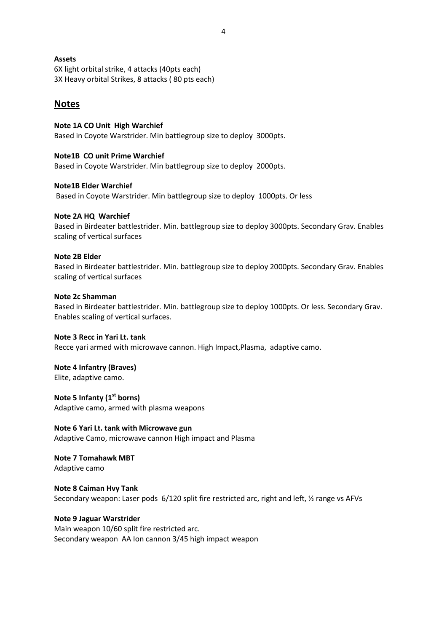4

## **Assets**

6X light orbital strike, 4 attacks (40pts each) 3X Heavy orbital Strikes, 8 attacks ( 80 pts each)

# **Notes**

**Note 1A CO Unit High Warchief** Based in Coyote Warstrider. Min battlegroup size to deploy 3000pts.

**Note1B CO unit Prime Warchief**

Based in Coyote Warstrider. Min battlegroup size to deploy 2000pts.

## **Note1B Elder Warchief**

Based in Coyote Warstrider. Min battlegroup size to deploy 1000pts. Or less

## **Note 2A HQ Warchief**

Based in Birdeater battlestrider. Min. battlegroup size to deploy 3000pts. Secondary Grav. Enables scaling of vertical surfaces

## **Note 2B Elder**

Based in Birdeater battlestrider. Min. battlegroup size to deploy 2000pts. Secondary Grav. Enables scaling of vertical surfaces

## **Note 2c Shamman**

Based in Birdeater battlestrider. Min. battlegroup size to deploy 1000pts. Or less. Secondary Grav. Enables scaling of vertical surfaces.

#### **Note 3 Recc in Yari Lt. tank**

Recce yari armed with microwave cannon. High Impact,Plasma, adaptive camo.

# **Note 4 Infantry (Braves)**

Elite, adaptive camo.

## **Note 5 Infanty (1st borns)**

Adaptive camo, armed with plasma weapons

# **Note 6 Yari Lt. tank with Microwave gun**

Adaptive Camo, microwave cannon High impact and Plasma

#### **Note 7 Tomahawk MBT** Adaptive camo

**Note 8 Caiman Hvy Tank** Secondary weapon: Laser pods 6/120 split fire restricted arc, right and left, ½ range vs AFVs

# **Note 9 Jaguar Warstrider**

Main weapon 10/60 split fire restricted arc. Secondary weapon AA Ion cannon 3/45 high impact weapon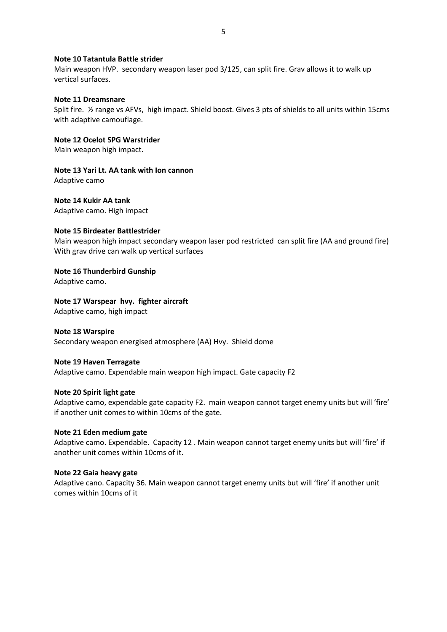#### **Note 10 Tatantula Battle strider**

Main weapon HVP. secondary weapon laser pod 3/125, can split fire. Grav allows it to walk up vertical surfaces.

#### **Note 11 Dreamsnare**

Split fire. ½ range vs AFVs, high impact. Shield boost. Gives 3 pts of shields to all units within 15cms with adaptive camouflage.

#### **Note 12 Ocelot SPG Warstrider**

Main weapon high impact.

**Note 13 Yari Lt. AA tank with Ion cannon** Adaptive camo

**Note 14 Kukir AA tank** Adaptive camo. High impact

#### **Note 15 Birdeater Battlestrider**

Main weapon high impact secondary weapon laser pod restricted can split fire (AA and ground fire) With grav drive can walk up vertical surfaces

#### **Note 16 Thunderbird Gunship**

Adaptive camo.

#### **Note 17 Warspear hvy. fighter aircraft**

Adaptive camo, high impact

#### **Note 18 Warspire**

Secondary weapon energised atmosphere (AA) Hvy. Shield dome

#### **Note 19 Haven Terragate**

Adaptive camo. Expendable main weapon high impact. Gate capacity F2

#### **Note 20 Spirit light gate**

Adaptive camo, expendable gate capacity F2. main weapon cannot target enemy units but will 'fire' if another unit comes to within 10cms of the gate.

#### **Note 21 Eden medium gate**

Adaptive camo. Expendable. Capacity 12 . Main weapon cannot target enemy units but will 'fire' if another unit comes within 10cms of it.

#### **Note 22 Gaia heavy gate**

Adaptive cano. Capacity 36. Main weapon cannot target enemy units but will 'fire' if another unit comes within 10cms of it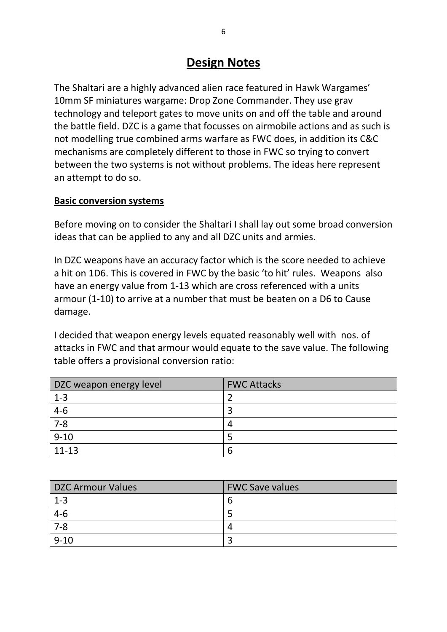# **Design Notes**

The Shaltari are a highly advanced alien race featured in Hawk Wargames' 10mm SF miniatures wargame: Drop Zone Commander. They use grav technology and teleport gates to move units on and off the table and around the battle field. DZC is a game that focusses on airmobile actions and as such is not modelling true combined arms warfare as FWC does, in addition its C&C mechanisms are completely different to those in FWC so trying to convert between the two systems is not without problems. The ideas here represent an attempt to do so.

# **Basic conversion systems**

Before moving on to consider the Shaltari I shall lay out some broad conversion ideas that can be applied to any and all DZC units and armies.

In DZC weapons have an accuracy factor which is the score needed to achieve a hit on 1D6. This is covered in FWC by the basic 'to hit' rules. Weapons also have an energy value from 1-13 which are cross referenced with a units armour (1-10) to arrive at a number that must be beaten on a D6 to Cause damage.

I decided that weapon energy levels equated reasonably well with nos. of attacks in FWC and that armour would equate to the save value. The following table offers a provisional conversion ratio:

| DZC weapon energy level | <b>FWC Attacks</b> |
|-------------------------|--------------------|
| $1 - 3$                 |                    |
| $4 - 6$                 |                    |
| $7 - 8$                 | д                  |
| $9 - 10$                |                    |
| $11 - 13$               | b                  |

| <b>DZC Armour Values</b> | <b>FWC Save values</b> |
|--------------------------|------------------------|
| $1 - 3$                  | b                      |
| $4 - 6$                  |                        |
| $7 - 8$                  | 4                      |
| $9 - 10$                 |                        |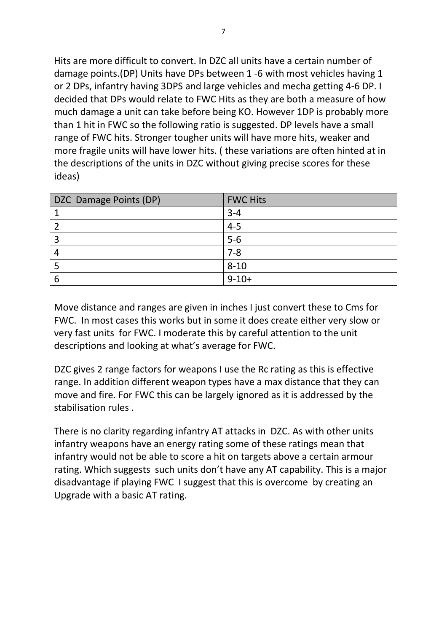Hits are more difficult to convert. In DZC all units have a certain number of damage points.(DP) Units have DPs between 1 -6 with most vehicles having 1 or 2 DPs, infantry having 3DPS and large vehicles and mecha getting 4-6 DP. I decided that DPs would relate to FWC Hits as they are both a measure of how much damage a unit can take before being KO. However 1DP is probably more than 1 hit in FWC so the following ratio is suggested. DP levels have a small range of FWC hits. Stronger tougher units will have more hits, weaker and more fragile units will have lower hits. ( these variations are often hinted at in the descriptions of the units in DZC without giving precise scores for these ideas)

| DZC Damage Points (DP) | <b>FWC Hits</b> |
|------------------------|-----------------|
|                        | $3 - 4$         |
|                        | $4 - 5$         |
| ာ                      | $5-6$           |
|                        | $7 - 8$         |
|                        | $8 - 10$        |
|                        | $9 - 10 +$      |

Move distance and ranges are given in inches I just convert these to Cms for FWC. In most cases this works but in some it does create either very slow or very fast units for FWC. I moderate this by careful attention to the unit descriptions and looking at what's average for FWC.

DZC gives 2 range factors for weapons I use the Rc rating as this is effective range. In addition different weapon types have a max distance that they can move and fire. For FWC this can be largely ignored as it is addressed by the stabilisation rules .

There is no clarity regarding infantry AT attacks in DZC. As with other units infantry weapons have an energy rating some of these ratings mean that infantry would not be able to score a hit on targets above a certain armour rating. Which suggests such units don't have any AT capability. This is a major disadvantage if playing FWC I suggest that this is overcome by creating an Upgrade with a basic AT rating.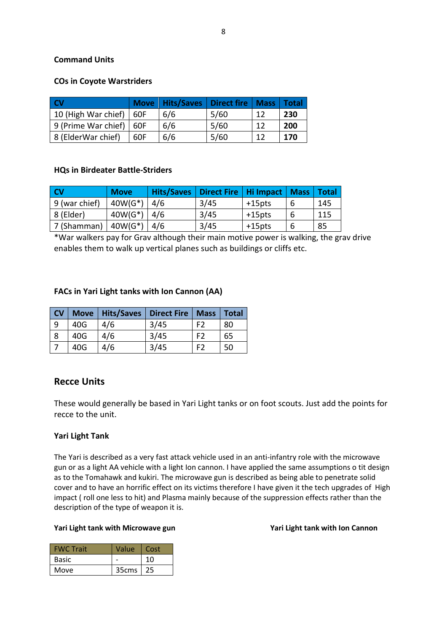# **Command Units**

## **COs in Coyote Warstriders**

| <b>CV</b>                       |     | Move   Hits/Saves   Direct fire   Mass   Total |      |    |     |
|---------------------------------|-----|------------------------------------------------|------|----|-----|
| 10 (High War chief) $\vert$ 60F |     | 6/6                                            | 5/60 | 12 | 230 |
| 9 (Prime War chief)   60F       |     | 6/6                                            | 5/60 | 12 | 200 |
| 8 (ElderWar chief)              | 60F | 6/6                                            | 5/60 | 12 | 170 |

## **HQs in Birdeater Battle-Striders**

| <b>CV</b>     | <b>Move</b>    |     | Hits/Saves   Direct Fire   Hi Impact   Mass |           |   | <b>Total</b> |
|---------------|----------------|-----|---------------------------------------------|-----------|---|--------------|
| 9 (war chief) | $40W(G^*)$     | 4/6 | 3/45                                        | +15pts    | 6 | 145          |
| 8 (Elder)     | $40W(G^*)$ 4/6 |     | 3/45                                        | +15pts    | 6 | 115          |
| 7 (Shamman)   | $40W(G^*)$     | 4/6 | 3/45                                        | $+15$ pts | 6 | 85           |

\*War walkers pay for Grav although their main motive power is walking, the grav drive enables them to walk up vertical planes such as buildings or cliffs etc.

## **FACs in Yari Light tanks with Ion Cannon (AA)**

| <b>CV</b> |     | Move   Hits/Saves   Direct Fire |      | <b>Mass</b> | <b>Total</b> |
|-----------|-----|---------------------------------|------|-------------|--------------|
| <b>9</b>  | 40G | 4/6                             | 3/45 | F2          | 80           |
| -8        | 40G | 4/6                             | 3/45 | F2          | 65           |
|           | 40G | 4/6                             | 3/45 | FЭ          | 50           |

# **Recce Units**

These would generally be based in Yari Light tanks or on foot scouts. Just add the points for recce to the unit.

# **Yari Light Tank**

The Yari is described as a very fast attack vehicle used in an anti-infantry role with the microwave gun or as a light AA vehicle with a light Ion cannon. I have applied the same assumptions o tit design as to the Tomahawk and kukiri. The microwave gun is described as being able to penetrate solid cover and to have an horrific effect on its victims therefore I have given it the tech upgrades of High impact ( roll one less to hit) and Plasma mainly because of the suppression effects rather than the description of the type of weapon it is.

## Yari Light tank with Microwave gun **Yari Light tank with Ion Cannon**

| <b>FWC</b> Trait | Value             | Cost |
|------------------|-------------------|------|
| Basic            |                   | 10   |
| Move             | 35 <sub>cms</sub> | 25   |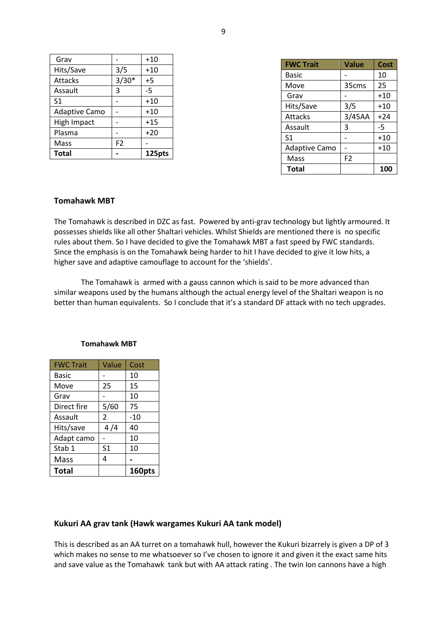| Grav                 |                | $+10$  |
|----------------------|----------------|--------|
| Hits/Save            | 3/5            | $+10$  |
| Attacks              | $3/30*$        | $+5$   |
| Assault              | 3              | -5     |
| S <sub>1</sub>       |                | $+10$  |
| <b>Adaptive Camo</b> |                | $+10$  |
| <b>High Impact</b>   |                | $+15$  |
| Plasma               |                | $+20$  |
| Mass                 | F <sub>2</sub> |        |
| <b>Total</b>         |                | 125pts |

| <b>FWC Trait</b>     | <b>Value</b>   | Cost  |
|----------------------|----------------|-------|
| Basic                |                | 10    |
| Move                 | 35cms          | 25    |
| Grav                 |                | $+10$ |
| Hits/Save            | 3/5            | $+10$ |
| <b>Attacks</b>       | 3/45AA         | $+24$ |
| Assault              | 3              | -5    |
| S <sub>1</sub>       |                | $+10$ |
| <b>Adaptive Camo</b> |                | $+10$ |
| Mass                 | F <sub>2</sub> |       |
| Total                |                | 100   |

#### **Tomahawk MBT**

The Tomahawk is described in DZC as fast. Powered by anti-grav technology but lightly armoured. It possesses shields like all other Shaltari vehicles. Whilst Shields are mentioned there is no specific rules about them. So I have decided to give the Tomahawk MBT a fast speed by FWC standards. Since the emphasis is on the Tomahawk being harder to hit I have decided to give it low hits, a higher save and adaptive camouflage to account for the 'shields'.

The Tomahawk is armed with a gauss cannon which is said to be more advanced than similar weapons used by the humans although the actual energy level of the Shaltari weapon is no better than human equivalents. So I conclude that it's a standard DF attack with no tech upgrades.

| <b>FWC Trait</b> | Value | Cost   |
|------------------|-------|--------|
| Basic            |       | 10     |
| Move             | 25    | 15     |
| Grav             |       | 10     |
| Direct fire      | 5/60  | 75     |
| Assault          | 2     | $-10$  |
| Hits/save        | 4 /4  | 40     |
| Adapt camo       |       | 10     |
| Stab 1           | S1    | 10     |
| Mass             | 4     |        |
| <b>Total</b>     |       | 160pts |

#### **Tomahawk MBT**

#### **Kukuri AA grav tank (Hawk wargames Kukuri AA tank model)**

This is described as an AA turret on a tomahawk hull, however the Kukuri bizarrely is given a DP of 3 which makes no sense to me whatsoever so I've chosen to ignore it and given it the exact same hits and save value as the Tomahawk tank but with AA attack rating . The twin Ion cannons have a high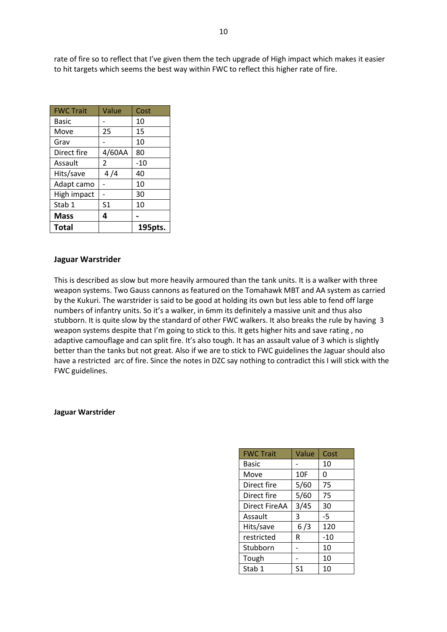rate of fire so to reflect that I've given them the tech upgrade of High impact which makes it easier to hit targets which seems the best way within FWC to reflect this higher rate of fire.

| <b>FWC Trait</b> | Value          | Cost    |
|------------------|----------------|---------|
| Basic            |                | 10      |
| Move             | 25             | 15      |
| Grav             |                | 10      |
| Direct fire      | 4/60AA         | 80      |
| Assault          | $\overline{2}$ | $-10$   |
| Hits/save        | 4 /4           | 40      |
| Adapt camo       |                | 10      |
| High impact      |                | 30      |
| Stab 1           | S1             | 10      |
| <b>Mass</b>      | 4              |         |
| <b>Total</b>     |                | 195pts. |

#### **Jaguar Warstrider**

This is described as slow but more heavily armoured than the tank units. It is a walker with three weapon systems. Two Gauss cannons as featured on the Tomahawk MBT and AA system as carried by the Kukuri. The warstrider is said to be good at holding its own but less able to fend off large numbers of infantry units. So it's a walker, in 6mm its definitely a massive unit and thus also stubborn. It is quite slow by the standard of other FWC walkers. It also breaks the rule by having 3 weapon systems despite that I'm going to stick to this. It gets higher hits and save rating , no adaptive camouflage and can split fire. It's also tough. It has an assault value of 3 which is slightly better than the tanks but not great. Also if we are to stick to FWC guidelines the Jaguar should also have a restricted arc of fire. Since the notes in DZC say nothing to contradict this I will stick with the FWC guidelines.

#### **Jaguar Warstrider**

| <b>FWC Trait</b> | Value          | Cost  |
|------------------|----------------|-------|
| Basic            |                | 10    |
| Move             | 10F            | 0     |
| Direct fire      | 5/60           | 75    |
| Direct fire      | 5/60           | 75    |
| Direct FireAA    | 3/45           | 30    |
| Assault          | 3              | $-5$  |
| Hits/save        | 6/3            | 120   |
| restricted       | R              | $-10$ |
| Stubborn         |                | 10    |
| Tough            |                | 10    |
| Stab 1           | S <sub>1</sub> | 10    |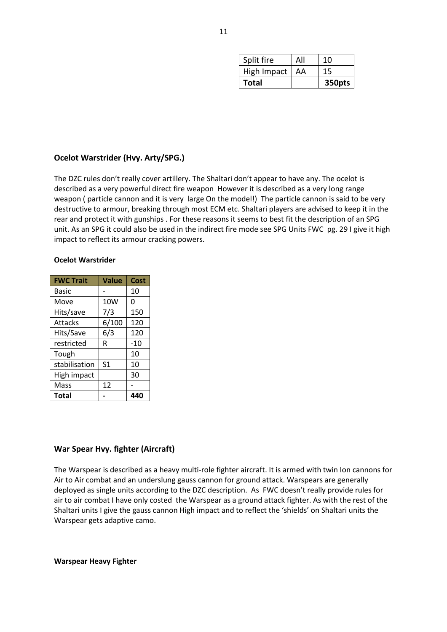| Split fire  | All | 10     |
|-------------|-----|--------|
| High Impact | AA  | 15     |
| Total       |     | 350pts |

#### **Ocelot Warstrider (Hvy. Arty/SPG.)**

The DZC rules don't really cover artillery. The Shaltari don't appear to have any. The ocelot is described as a very powerful direct fire weapon However it is described as a very long range weapon ( particle cannon and it is very large On the model!) The particle cannon is said to be very destructive to armour, breaking through most ECM etc. Shaltari players are advised to keep it in the rear and protect it with gunships . For these reasons it seems to best fit the description of an SPG unit. As an SPG it could also be used in the indirect fire mode see SPG Units FWC pg. 29 I give it high impact to reflect its armour cracking powers.

#### **Ocelot Warstrider**

| <b>FWC Trait</b> | Value          | Cost  |
|------------------|----------------|-------|
| Basic            |                | 10    |
| Move             | 10W            | 0     |
| Hits/save        | 7/3            | 150   |
| <b>Attacks</b>   | 6/100          | 120   |
| Hits/Save        | 6/3            | 120   |
| restricted       | R              | $-10$ |
| Tough            |                | 10    |
| stabilisation    | S <sub>1</sub> | 10    |
| High impact      |                | 30    |
| Mass             | 12             |       |
| Total            |                | 44    |

#### **War Spear Hvy. fighter (Aircraft)**

The Warspear is described as a heavy multi-role fighter aircraft. It is armed with twin Ion cannons for Air to Air combat and an underslung gauss cannon for ground attack. Warspears are generally deployed as single units according to the DZC description. As FWC doesn't really provide rules for air to air combat I have only costed the Warspear as a ground attack fighter. As with the rest of the Shaltari units I give the gauss cannon High impact and to reflect the 'shields' on Shaltari units the Warspear gets adaptive camo.

**Warspear Heavy Fighter**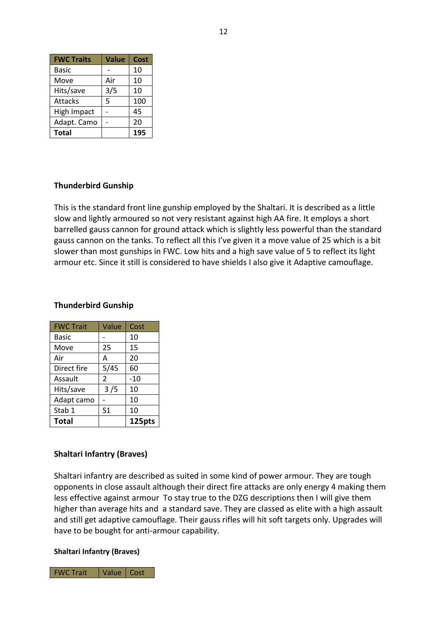| <b>FWC Traits</b> | <b>Value</b> | Cost |
|-------------------|--------------|------|
| <b>Basic</b>      |              | 10   |
| Move              | Air          | 10   |
| Hits/save         | 3/5          | 10   |
| <b>Attacks</b>    | 5            | 100  |
| High Impact       |              | 45   |
| Adapt. Camo       |              | 20   |
| <b>Total</b>      |              | 195  |

## **Thunderbird Gunship**

This is the standard front line gunship employed by the Shaltari. It is described as a little slow and lightly armoured so not very resistant against high AA fire. It employs a short barrelled gauss cannon for ground attack which is slightly less powerful than the standard gauss cannon on the tanks. To reflect all this I've given it a move value of 25 which is a bit slower than most gunships in FWC. Low hits and a high save value of 5 to reflect its light armour etc. Since it still is considered to have shields I also give it Adaptive camouflage.

## **Thunderbird Gunship**

| <b>FWC Trait</b> | Value | Cost   |
|------------------|-------|--------|
| Basic            |       | 10     |
| Move             | 25    | 15     |
| Air              | А     | 20     |
| Direct fire      | 5/45  | 60     |
| Assault          | 2     | $-10$  |
| Hits/save        | 3/5   | 10     |
| Adapt camo       |       | 10     |
| Stab 1           | S1    | 10     |
| <b>Total</b>     |       | 125pts |

#### **Shaltari Infantry (Braves)**

Shaltari infantry are described as suited in some kind of power armour. They are tough opponents in close assault although their direct fire attacks are only energy 4 making them less effective against armour To stay true to the DZG descriptions then I will give them higher than average hits and a standard save. They are classed as elite with a high assault and still get adaptive camouflage. Their gauss rifles will hit soft targets only. Upgrades will have to be bought for anti-armour capability.

#### **Shaltari Infantry (Braves)**

FWC Trait | Value | Cost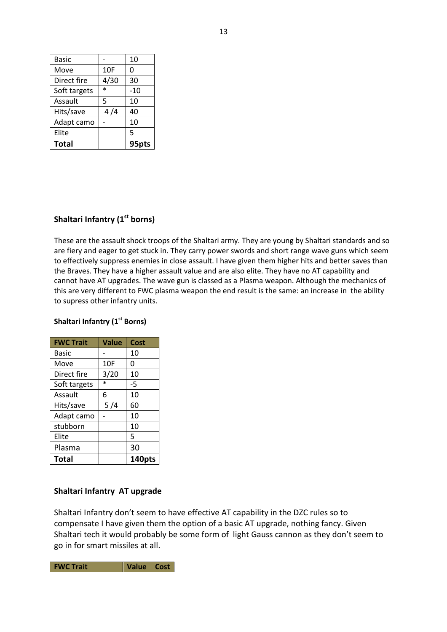| Basic        |        | 10  |
|--------------|--------|-----|
| Move         | 10F    | 0   |
| Direct fire  | 4/30   | 30  |
| Soft targets | $\ast$ | -10 |
| Assault      | 5      | 10  |
| Hits/save    | 4 /4   | 40  |
| Adapt camo   |        | 10  |
| Elite        |        | 5   |
| Total        |        | 95p |

# **Shaltari Infantry (1st borns)**

These are the assault shock troops of the Shaltari army. They are young by Shaltari standards and so are fiery and eager to get stuck in. They carry power swords and short range wave guns which seem to effectively suppress enemies in close assault. I have given them higher hits and better saves than the Braves. They have a higher assault value and are also elite. They have no AT capability and cannot have AT upgrades. The wave gun is classed as a Plasma weapon. Although the mechanics of this are very different to FWC plasma weapon the end result is the same: an increase in the ability to supress other infantry units.

# **FWC Trait Value Cost** Basic  $\vert - \vert 10 \vert$ Move  $\vert$  10F  $\vert$  0 Direct fire  $\begin{array}{|c|c|c|c|c|}\n\hline\n3/20 & 10\n\end{array}$ Soft targets  $*$   $-5$ Assault 6 10 Hits/save  $\vert$  5/4  $\vert$  60 Adapt camo  $\vert \cdot \vert$  10 stubborn | 10 Elite | | | 5 Plasma | 30 **Total 140pts**

# **Shaltari Infantry (1st Borns)**

# **Shaltari Infantry AT upgrade**

Shaltari Infantry don't seem to have effective AT capability in the DZC rules so to compensate I have given them the option of a basic AT upgrade, nothing fancy. Given Shaltari tech it would probably be some form of light Gauss cannon as they don't seem to go in for smart missiles at all.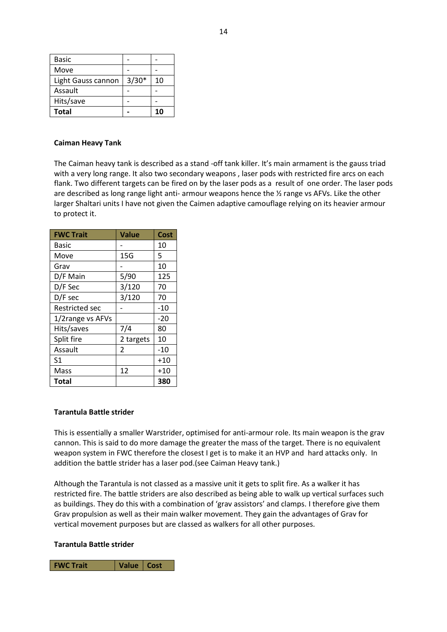| <b>Basic</b>       |         |    |
|--------------------|---------|----|
| Move               |         |    |
| Light Gauss cannon | $3/30*$ | 10 |
| Assault            |         |    |
| Hits/save          |         |    |
| Total              |         | 10 |

#### **Caiman Heavy Tank**

The Caiman heavy tank is described as a stand -off tank killer. It's main armament is the gauss triad with a very long range. It also two secondary weapons , laser pods with restricted fire arcs on each flank. Two different targets can be fired on by the laser pods as a result of one order. The laser pods are described as long range light anti- armour weapons hence the  $\frac{1}{2}$  range vs AFVs. Like the other larger Shaltari units I have not given the Caimen adaptive camouflage relying on its heavier armour to protect it.

| <b>FWC Trait</b> | <b>Value</b>   | Cost  |
|------------------|----------------|-------|
| Basic            |                | 10    |
| Move             | 15G            | 5     |
| Grav             |                | 10    |
| D/F Main         | 5/90           | 125   |
| D/F Sec          | 3/120          | 70    |
| D/F sec          | 3/120          | 70    |
| Restricted sec   |                | -10   |
| 1/2range vs AFVs |                | $-20$ |
| Hits/saves       | 7/4            | 80    |
| Split fire       | 2 targets      | 10    |
| Assault          | $\overline{2}$ | $-10$ |
| S <sub>1</sub>   |                | $+10$ |
| Mass             | 12             | $+10$ |
| Total            |                | 380   |

#### **Tarantula Battle strider**

This is essentially a smaller Warstrider, optimised for anti-armour role. Its main weapon is the grav cannon. This is said to do more damage the greater the mass of the target. There is no equivalent weapon system in FWC therefore the closest I get is to make it an HVP and hard attacks only. In addition the battle strider has a laser pod.(see Caiman Heavy tank.)

Although the Tarantula is not classed as a massive unit it gets to split fire. As a walker it has restricted fire. The battle striders are also described as being able to walk up vertical surfaces such as buildings. They do this with a combination of 'grav assistors' and clamps. I therefore give them Grav propulsion as well as their main walker movement. They gain the advantages of Grav for vertical movement purposes but are classed as walkers for all other purposes.

#### **Tarantula Battle strider**

**FWC Trait Value Cost**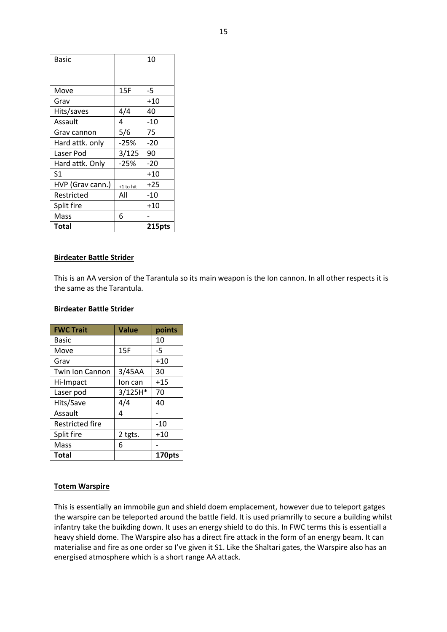| Basic            |           | 10     |
|------------------|-----------|--------|
|                  |           |        |
| Move             | 15F       | -5     |
| Grav             |           | $+10$  |
| Hits/saves       | 4/4       | 40     |
| Assault          | 4         | -10    |
| Grav cannon      | 5/6       | 75     |
| Hard attk. only  | $-25%$    | -20    |
| Laser Pod        | 3/125     | 90     |
| Hard attk. Only  | $-25%$    | $-20$  |
| S1               |           | +10    |
| HVP (Grav cann.) | +1 to hit | $+25$  |
| Restricted       | All       | -10    |
| Split fire       |           | $+10$  |
| Mass             | 6         |        |
| Total            |           | 215pts |

#### **Birdeater Battle Strider**

This is an AA version of the Tarantula so its main weapon is the Ion cannon. In all other respects it is the same as the Tarantula.

#### **Birdeater Battle Strider**

| <b>FWC Trait</b>       | <b>Value</b> | points |
|------------------------|--------------|--------|
| <b>Basic</b>           |              | 10     |
| Move                   | 15F          | -5     |
| Grav                   |              | $+10$  |
| <b>Twin Ion Cannon</b> | 3/45AA       | 30     |
| Hi-Impact              | lon can      | $+15$  |
| Laser pod              | 3/125H*      | 70     |
| Hits/Save              | 4/4          | 40     |
| Assault                | 4            |        |
| <b>Restricted fire</b> |              | -10    |
| Split fire             | 2 tgts.      | $+10$  |
| Mass                   | 6            |        |
| <b>Total</b>           |              | 170pts |

#### **Totem Warspire**

This is essentially an immobile gun and shield doem emplacement, however due to teleport gatges the warspire can be teleported around the battle field. It is used priamrilly to secure a building whilst infantry take the buikding down. It uses an energy shield to do this. In FWC terms this is essentiall a heavy shield dome. The Warspire also has a direct fire attack in the form of an energy beam. It can materialise and fire as one order so I've given it S1. Like the Shaltari gates, the Warspire also has an energised atmosphere which is a short range AA attack.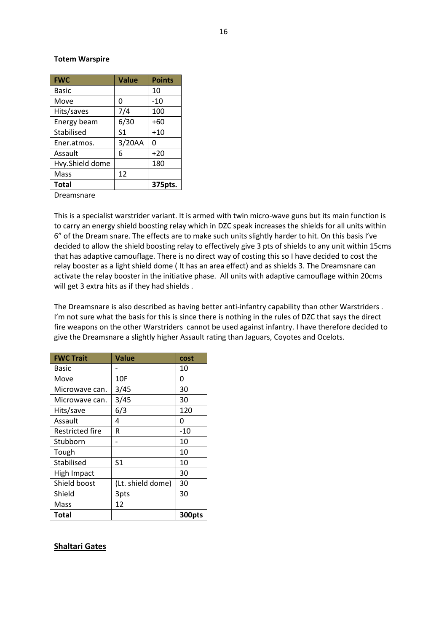#### **Totem Warspire**

| <b>FWC</b>      | <b>Value</b>   | <b>Points</b> |
|-----------------|----------------|---------------|
| <b>Basic</b>    |                | 10            |
| Move            | 0              | $-10$         |
| Hits/saves      | 7/4            | 100           |
| Energy beam     | 6/30           | $+60$         |
| Stabilised      | S <sub>1</sub> | $+10$         |
| Ener.atmos.     | 3/20AA         | O             |
| Assault         | 6              | $+20$         |
| Hvy.Shield dome |                | 180           |
| Mass            | 12             |               |
| <b>Total</b>    |                | 375pts.       |

Dreamsnare

This is a specialist warstrider variant. It is armed with twin micro-wave guns but its main function is to carry an energy shield boosting relay which in DZC speak increases the shields for all units within 6" of the Dream snare. The effects are to make such units slightly harder to hit. On this basis I've decided to allow the shield boosting relay to effectively give 3 pts of shields to any unit within 15cms that has adaptive camouflage. There is no direct way of costing this so I have decided to cost the relay booster as a light shield dome ( It has an area effect) and as shields 3. The Dreamsnare can activate the relay booster in the initiative phase. All units with adaptive camouflage within 20cms will get 3 extra hits as if they had shields .

The Dreamsnare is also described as having better anti-infantry capability than other Warstriders . I'm not sure what the basis for this is since there is nothing in the rules of DZC that says the direct fire weapons on the other Warstriders cannot be used against infantry. I have therefore decided to give the Dreamsnare a slightly higher Assault rating than Jaguars, Coyotes and Ocelots.

| <b>FWC Trait</b>       | Value             | cost   |
|------------------------|-------------------|--------|
| Basic                  |                   | 10     |
| Move                   | 10F               | 0      |
| Microwave can.         | 3/45              | 30     |
| Microwave can.         | 3/45              | 30     |
| Hits/save              | 6/3               | 120    |
| Assault                | 4                 | 0      |
| <b>Restricted fire</b> | R                 | $-10$  |
| Stubborn               |                   | 10     |
| Tough                  |                   | 10     |
| Stabilised             | S1                | 10     |
| <b>High Impact</b>     |                   | 30     |
| Shield boost           | (Lt. shield dome) | 30     |
| Shield                 | 3pts              | 30     |
| Mass                   | 12                |        |
| Total                  |                   | 300pts |

#### **Shaltari Gates**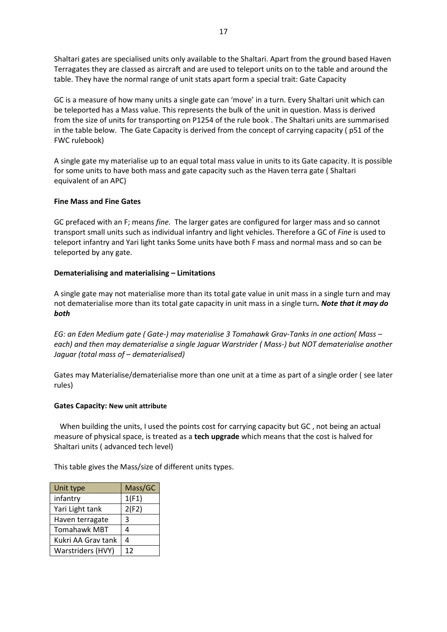Shaltari gates are specialised units only available to the Shaltari. Apart from the ground based Haven Terragates they are classed as aircraft and are used to teleport units on to the table and around the table. They have the normal range of unit stats apart form a special trait: Gate Capacity

GC is a measure of how many units a single gate can 'move' in a turn. Every Shaltari unit which can be teleported has a Mass value. This represents the bulk of the unit in question. Mass is derived from the size of units for transporting on P1254 of the rule book . The Shaltari units are summarised in the table below. The Gate Capacity is derived from the concept of carrying capacity ( p51 of the FWC rulebook)

A single gate my materialise up to an equal total mass value in units to its Gate capacity. It is possible for some units to have both mass and gate capacity such as the Haven terra gate ( Shaltari equivalent of an APC)

#### **Fine Mass and Fine Gates**

GC prefaced with an F; means *fine.* The larger gates are configured for larger mass and so cannot transport small units such as individual infantry and light vehicles. Therefore a GC of *Fine* is used to teleport infantry and Yari light tanks Some units have both F mass and normal mass and so can be teleported by any gate.

## **Dematerialising and materialising – Limitations**

A single gate may not materialise more than its total gate value in unit mass in a single turn and may not dematerialise more than its total gate capacity in unit mass in a single turn*. Note that it may do both*

*EG: an Eden Medium gate ( Gate-) may materialise 3 Tomahawk Grav-Tanks in one action( Mass – each) and then may dematerialise a single Jaguar Warstrider ( Mass-) but NOT dematerialise another Jaguar (total mass of – dematerialised)* 

Gates may Materialise/dematerialise more than one unit at a time as part of a single order ( see later rules)

#### **Gates Capacity: New unit attribute**

 When building the units, I used the points cost for carrying capacity but GC , not being an actual measure of physical space, is treated as a **tech upgrade** which means that the cost is halved for Shaltari units ( advanced tech level)

This table gives the Mass/size of different units types.

| Unit type           | Mass/GC |
|---------------------|---------|
| infantry            | 1(F1)   |
| Yari Light tank     | 2(F2)   |
| Haven terragate     | 3       |
| <b>Tomahawk MBT</b> | 4       |
| Kukri AA Grav tank  | 4       |
| Warstriders (HVY)   | 12      |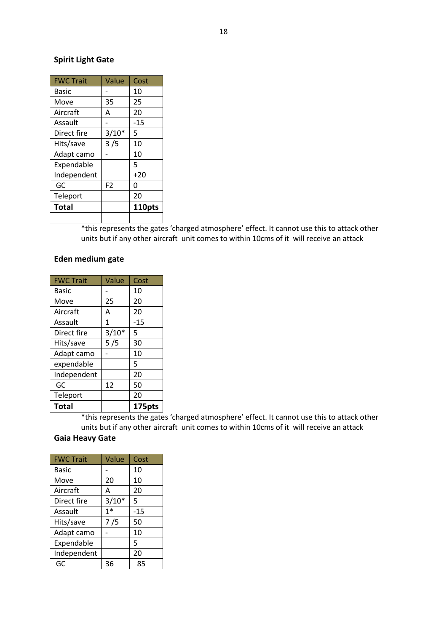# **Spirit Light Gate**

| <b>FWC Trait</b> | Value          | Cost   |
|------------------|----------------|--------|
| Basic            |                | 10     |
| Move             | 35             | 25     |
| Aircraft         | А              | 20     |
| Assault          |                | $-15$  |
| Direct fire      | $3/10*$        | 5      |
| Hits/save        | 3/5            | 10     |
| Adapt camo       |                | 10     |
| Expendable       |                | 5      |
| Independent      |                | $+20$  |
| GC               | F <sub>2</sub> | 0      |
| Teleport         |                | 20     |
| Total            |                | 110pts |
|                  |                |        |

\*this represents the gates 'charged atmosphere' effect. It cannot use this to attack other units but if any other aircraft unit comes to within 10cms of it will receive an attack

## **Eden medium gate**

| <b>FWC Trait</b> | Value        | Cost   |
|------------------|--------------|--------|
| <b>Basic</b>     |              | 10     |
| Move             | 25           | 20     |
| Aircraft         | A            | 20     |
| Assault          | $\mathbf{1}$ | $-15$  |
| Direct fire      | $3/10*$      | 5      |
| Hits/save        | 5/5          | 30     |
| Adapt camo       |              | 10     |
| expendable       |              | 5      |
| Independent      |              | 20     |
| GC               | 12           | 50     |
| Teleport         |              | 20     |
| <b>Total</b>     |              | 175pts |

\*this represents the gates 'charged atmosphere' effect. It cannot use this to attack other units but if any other aircraft unit comes to within 10cms of it will receive an attack

# **Gaia Heavy Gate**

| <b>FWC Trait</b> | Value   | Cost  |
|------------------|---------|-------|
| Basic            |         | 10    |
| Move             | 20      | 10    |
| Aircraft         | A       | 20    |
| Direct fire      | $3/10*$ | 5     |
| Assault          | $1*$    | $-15$ |
| Hits/save        | 7 / 5   | 50    |
| Adapt camo       |         | 10    |
| Expendable       |         | 5     |
| Independent      |         | 20    |
| GC               | 36      | 85    |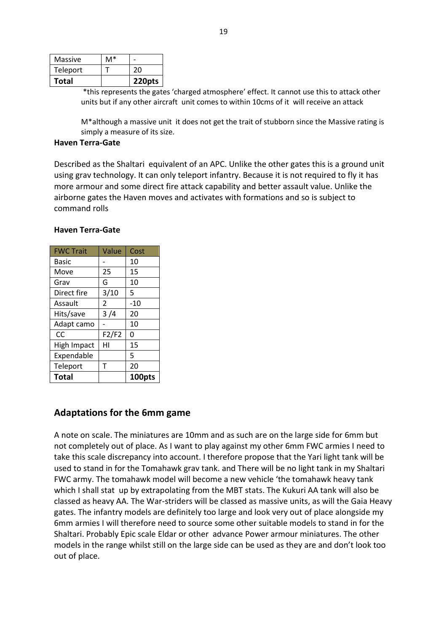| Massive  | M* |        |
|----------|----|--------|
| Teleport |    | 20     |
| Total    |    | 220pts |

\*this represents the gates 'charged atmosphere' effect. It cannot use this to attack other units but if any other aircraft unit comes to within 10cms of it will receive an attack

M\*although a massive unit it does not get the trait of stubborn since the Massive rating is simply a measure of its size.

#### **Haven Terra-Gate**

Described as the Shaltari equivalent of an APC. Unlike the other gates this is a ground unit using grav technology. It can only teleport infantry. Because it is not required to fly it has more armour and some direct fire attack capability and better assault value. Unlike the airborne gates the Haven moves and activates with formations and so is subject to command rolls

#### **Haven Terra-Gate**

| <b>FWC Trait</b> | Value | Cost   |
|------------------|-------|--------|
| Basic            |       | 10     |
| Move             | 25    | 15     |
| Grav             | G     | 10     |
| Direct fire      | 3/10  | 5      |
| Assault          | 2     | -10    |
| Hits/save        | 3 /4  | 20     |
| Adapt camo       |       | 10     |
| CC               | F2/F2 | 0      |
| High Impact      | нı    | 15     |
| Expendable       |       | 5      |
| Teleport         | т     | 20     |
| Total            |       | 100pts |

# **Adaptations for the 6mm game**

A note on scale. The miniatures are 10mm and as such are on the large side for 6mm but not completely out of place. As I want to play against my other 6mm FWC armies I need to take this scale discrepancy into account. I therefore propose that the Yari light tank will be used to stand in for the Tomahawk grav tank. and There will be no light tank in my Shaltari FWC army. The tomahawk model will become a new vehicle 'the tomahawk heavy tank which I shall stat up by extrapolating from the MBT stats. The Kukuri AA tank will also be classed as heavy AA. The War-striders will be classed as massive units, as will the Gaia Heavy gates. The infantry models are definitely too large and look very out of place alongside my 6mm armies I will therefore need to source some other suitable models to stand in for the Shaltari. Probably Epic scale Eldar or other advance Power armour miniatures. The other models in the range whilst still on the large side can be used as they are and don't look too out of place.